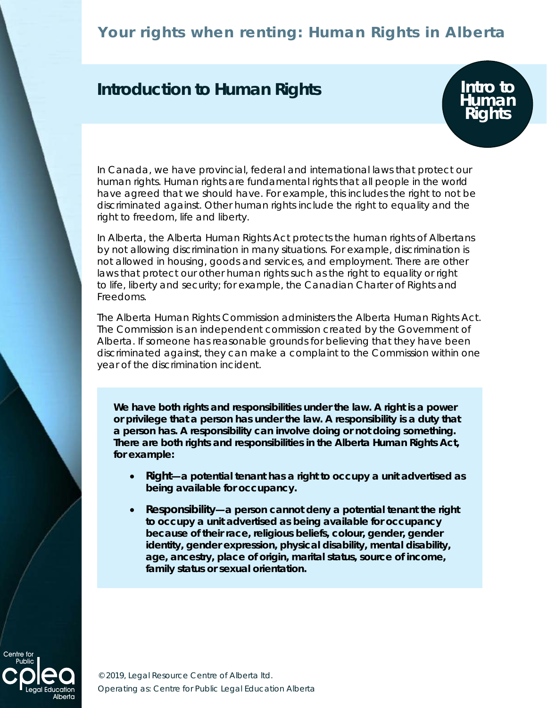# **Your rights when renting: Human Rights in Alberta**

## **Introduction to Human Rights**

**Intro to Human Rights**

In Canada, we have provincial, federal and international laws that protect our human rights. Human rights are fundamental rights that all people in the world have agreed that we should have. For example, this includes the right to not be discriminated against. Other human rights include the right to equality and the right to freedom, life and liberty.

In Alberta, the *Alberta Human Rights Act* protects the human rights of Albertans by not allowing discrimination in many situations. For example, discrimination is not allowed in housing, goods and services, and employment. There are other laws that protect our other human rights such as the right to equality or right to life, liberty and security; for example, the *Canadian Charter of Rights and Freedoms*.

The Alberta Human Rights Commission administers the *Alberta Human Rights Act*. The Commission is an independent commission created by the Government of Alberta. If someone has reasonable grounds for believing that they have been discriminated against, they can make a complaint to the Commission within one year of the discrimination incident.

**We have both rights and responsibilities under the law. A right is a power or privilege that a person has under the law. A responsibility is a duty that a person has. A responsibility can involve doing or not doing something. There are both rights and responsibilities in the Alberta** *Human Rights Act***, for example:**

- • *Right***—a potential tenant has a right to occupy a unit advertised as being available for occupancy.**
- • *Responsibility***—a person cannot deny a potential tenant the right to occupy a unit advertised as being available for occupancy because of their race, religious beliefs, colour, gender, gender identity, gender expression, physical disability, mental disability, age, ancestry, place of origin, marital status, source of income, family status or sexual orientation.**



© 2019, Legal Resource Centre of Alberta ltd. Operating as: Centre for Public Legal Education Alberta